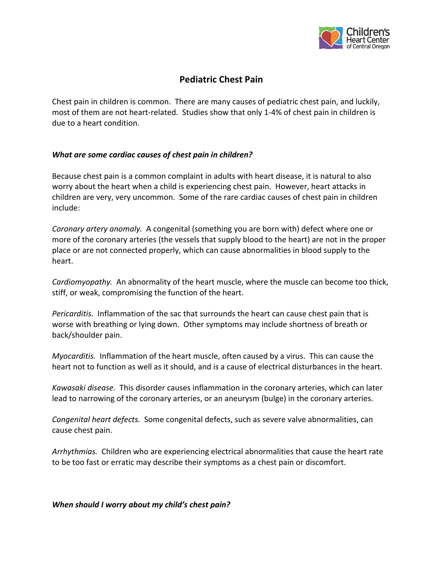

# **Pediatric Chest Pain**

Chest pain in children is common. There are many causes of pediatric chest pain, and luckily, most of them are not heart-related. Studies show that only 1-4% of chest pain in children is due to a heart condition.

### *What are some cardiac causes of chest pain in children?*

Because chest pain is a common complaint in adults with heart disease, it is natural to also worry about the heart when a child is experiencing chest pain. However, heart attacks in children are very, very uncommon. Some of the rare cardiac causes of chest pain in children include:

*Coronary artery anomaly.* A congenital (something you are born with) defect where one or more of the coronary arteries (the vessels that supply blood to the heart) are not in the proper place or are not connected properly, which can cause abnormalities in blood supply to the heart.

*Cardiomyopathy.* An abnormality of the heart muscle, where the muscle can become too thick, stiff, or weak, compromising the function of the heart.

*Pericarditis.* Inflammation of the sac that surrounds the heart can cause chest pain that is worse with breathing or lying down. Other symptoms may include shortness of breath or back/shoulder pain.

*Myocarditis.* Inflammation of the heart muscle, often caused by a virus. This can cause the heart not to function as well as it should, and is a cause of electrical disturbances in the heart.

*Kawasaki disease.* This disorder causes inflammation in the coronary arteries, which can later lead to narrowing of the coronary arteries, or an aneurysm (bulge) in the coronary arteries.

*Congenital heart defects.* Some congenital defects, such as severe valve abnormalities, can cause chest pain.

*Arrhythmias.* Children who are experiencing electrical abnormalities that cause the heart rate to be too fast or erratic may describe their symptoms as a chest pain or discomfort.

*When should I worry about my child's chest pain?*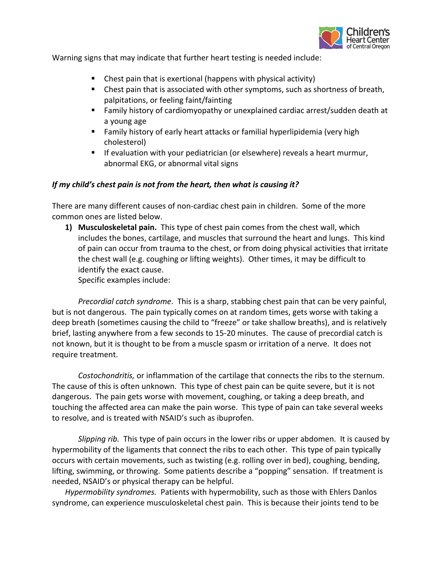

Warning signs that may indicate that further heart testing is needed include:

- § Chest pain that is exertional (happens with physical activity)
- Chest pain that is associated with other symptoms, such as shortness of breath, palpitations, or feeling faint/fainting
- Family history of cardiomyopathy or unexplained cardiac arrest/sudden death at a young age
- Family history of early heart attacks or familial hyperlipidemia (very high cholesterol)
- If evaluation with your pediatrician (or elsewhere) reveals a heart murmur, abnormal EKG, or abnormal vital signs

## *If my child's chest pain is not from the heart, then what is causing it?*

There are many different causes of non-cardiac chest pain in children. Some of the more common ones are listed below.

**1) Musculoskeletal pain.** This type of chest pain comes from the chest wall, which includes the bones, cartilage, and muscles that surround the heart and lungs. This kind of pain can occur from trauma to the chest, or from doing physical activities that irritate the chest wall (e.g. coughing or lifting weights). Other times, it may be difficult to identify the exact cause.

Specific examples include:

*Precordial catch syndrome*. This is a sharp, stabbing chest pain that can be very painful, but is not dangerous. The pain typically comes on at random times, gets worse with taking a deep breath (sometimes causing the child to "freeze" or take shallow breaths), and is relatively brief, lasting anywhere from a few seconds to 15-20 minutes. The cause of precordial catch is not known, but it is thought to be from a muscle spasm or irritation of a nerve. It does not require treatment.

*Costochondritis,* or inflammation of the cartilage that connects the ribs to the sternum. The cause of this is often unknown. This type of chest pain can be quite severe, but it is not dangerous. The pain gets worse with movement, coughing, or taking a deep breath, and touching the affected area can make the pain worse. This type of pain can take several weeks to resolve, and is treated with NSAID's such as ibuprofen.

*Slipping rib.* This type of pain occurs in the lower ribs or upper abdomen. It is caused by hypermobility of the ligaments that connect the ribs to each other. This type of pain typically occurs with certain movements, such as twisting (e.g. rolling over in bed), coughing, bending, lifting, swimming, or throwing. Some patients describe a "popping" sensation. If treatment is needed, NSAID's or physical therapy can be helpful.

*Hypermobility syndromes.* Patients with hypermobility, such as those with Ehlers Danlos syndrome, can experience musculoskeletal chest pain. This is because their joints tend to be